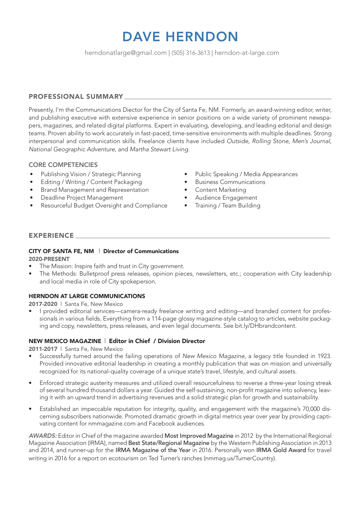# DAVE HERNDON

herndonatlarge@gmail.com | (505) 316-3613 | herndon-at-large.com

# PROFESSIONAL SUMMARY

Presently, I'm the Communications Diector for the City of Santa Fe, NM. Formerly, an award-winning editor, writer, and publishing executive with extensive experience in senior positions on a wide variety of prominent newspapers, magazines, and related digital platforms. Expert in evaluating, developing, and leading editorial and design teams. Proven ability to work accurately in fast-paced, time-sensitive environments with multiple deadlines. Strong interpersonal and communication skills. Freelance clients have included *Outside*, *Rolling Stone*, *Men's Journal*, *National Geographic Adventure*, and *Martha Stewart Living*.

# CORE COMPETENCIES

- Publishing Vision / Strategic Planning
- Editing / Writing / Content Packaging
- Brand Management and Representation
- Deadline Project Management
- Resourceful Budget Oversight and Compliance
- Public Speaking / Media Appearances
- Business Communications
- Content Marketing
- Audience Engagement
- Training / Team Building

# EXPERIENCE

#### CITY OF SANTA FE, NM | Director of Communications 2020-PRESENT

- 
- The Mission: Inspire faith and trust in City government.
- The Methods: Bulletproof press releases, opinion pieces, newsletters, etc.; cooperation with City leadership and local media in role of City spokeperson.

# HERNDON AT LARGE COMMUNICATIONS

2017-2020 | Santa Fe, New Mexico

• I provided editorial services—camera-ready freelance writing and editing—and branded content for professionals in various fields. Everything from a 114-page glossy magazine-style catalog to articles, website packaging and copy, newsletters, press releases, and even legal documents. See bit.ly/DHbrandcontent.

## NEW MEXICO MAGAZINE | Editor in Chief / Division Director

2011-2017 | Santa Fe, New Mexico

- Successfully turned around the failing operations of *New Mexico Magazine*, a legacy title founded in 1923. Provided innovative editorial leadership in creating a monthly publication that was on mission and universally recognized for its national-quality coverage of a unique state's travel, lifestyle, and cultural assets.
- Enforced strategic austerity measures and utilized overall resourcefulness to reverse a three-year losing streak of several hundred thousand dollars a year. Guided the self-sustaining, non-profit magazine into solvency, leaving it with an upward trend in advertising revenues and a solid strategic plan for growth and sustainability.
- Established an impeccable reputation for integrity, quality, and engagement with the magazine's 70,000 discerning subscribers nationwide. Promoted dramatic growth in digital metrics year over year by providing captivating content for nmmagazine.com and Facebook audiences.

*AWARDS:* Editor in Chief of the magazine awarded Most Improved Magazine in 2012 by the International Regional Magazine Association (IRMA), named Best State/Regional Magazine by the Western Publishing Association in 2013 and 2014, and runner-up for the IRMA Magazine of the Year in 2016. Personally won IRMA Gold Award for travel writing in 2016 for a report on ecotourism on Ted Turner's ranches (nmmag.us/TurnerCountry).